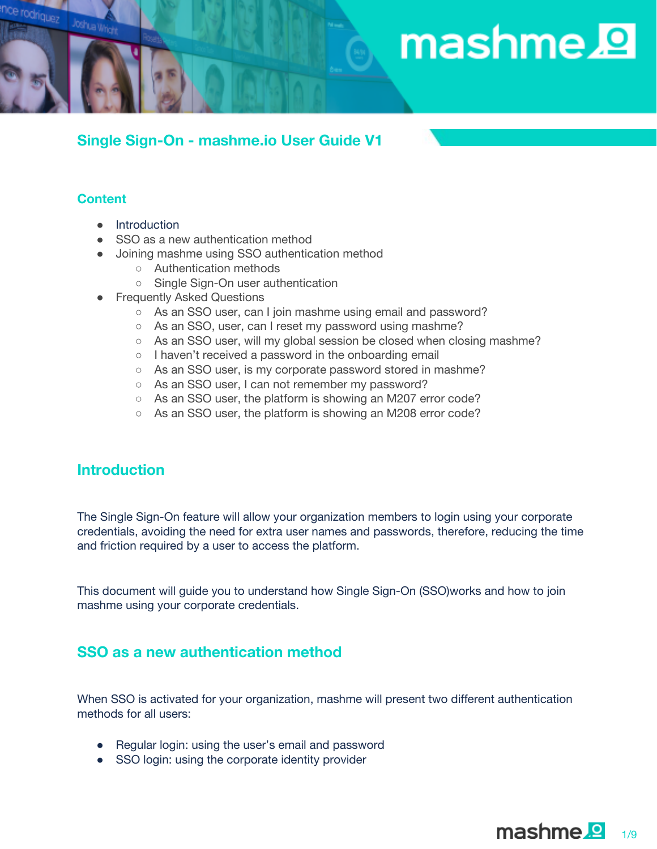# mashme.<sup>1</sup>

## **Single Sign-On - mashme.io User Guide V1**

### **Content**

Joshua Wright

driguez

- Introduction
- SSO as a new authentication method
- Joining mashme using SSO authentication method
	- Authentication methods
	- Single Sign-On user authentication
- Frequently Asked Questions
	- As an SSO user, can I join mashme using email and password?
	- As an SSO, user, can I reset my password using mashme?
	- As an SSO user, will my global session be closed when closing mashme?
	- I haven't received a password in the onboarding email
	- As an SSO user, is my corporate password stored in mashme?
	- As an SSO user, I can not remember my password?
	- As an SSO user, the platform is showing an M207 error code?
	- As an SSO user, the platform is showing an M208 error code?

## **Introduction**

The Single Sign-On feature will allow your organization members to login using your corporate credentials, avoiding the need for extra user names and passwords, therefore, reducing the time and friction required by a user to access the platform.

This document will guide you to understand how Single Sign-On (SSO)works and how to join mashme using your corporate credentials.

## **SSO as a new authentication method**

When SSO is activated for your organization, mashme will present two different authentication methods for all users:

- Regular login: using the user's email and password
- SSO login: using the corporate identity provider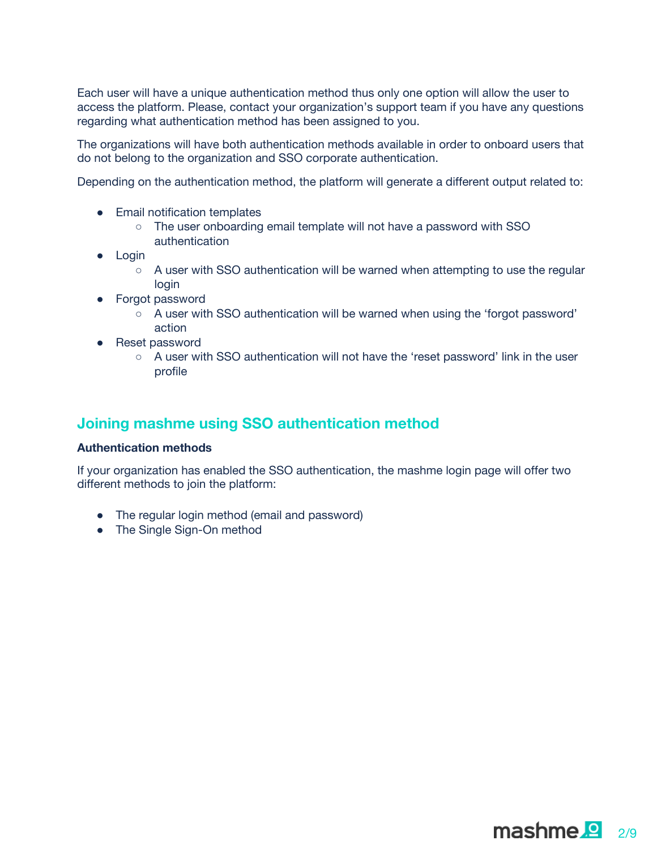Each user will have a unique authentication method thus only one option will allow the user to access the platform. Please, contact your organization's support team if you have any questions regarding what authentication method has been assigned to you.

The organizations will have both authentication methods available in order to onboard users that do not belong to the organization and SSO corporate authentication.

Depending on the authentication method, the platform will generate a different output related to:

- Email notification templates
	- The user onboarding email template will not have a password with SSO authentication
- Login
	- $\circ$  A user with SSO authentication will be warned when attempting to use the regular login
- Forgot password
	- A user with SSO authentication will be warned when using the 'forgot password' action
- Reset password
	- $\circ$  A user with SSO authentication will not have the 'reset password' link in the user profile

## **Joining mashme using SSO authentication method**

#### **Authentication methods**

If your organization has enabled the SSO authentication, the mashme login page will offer two different methods to join the platform:

- The regular login method (email and password)
- The Single Sign-On method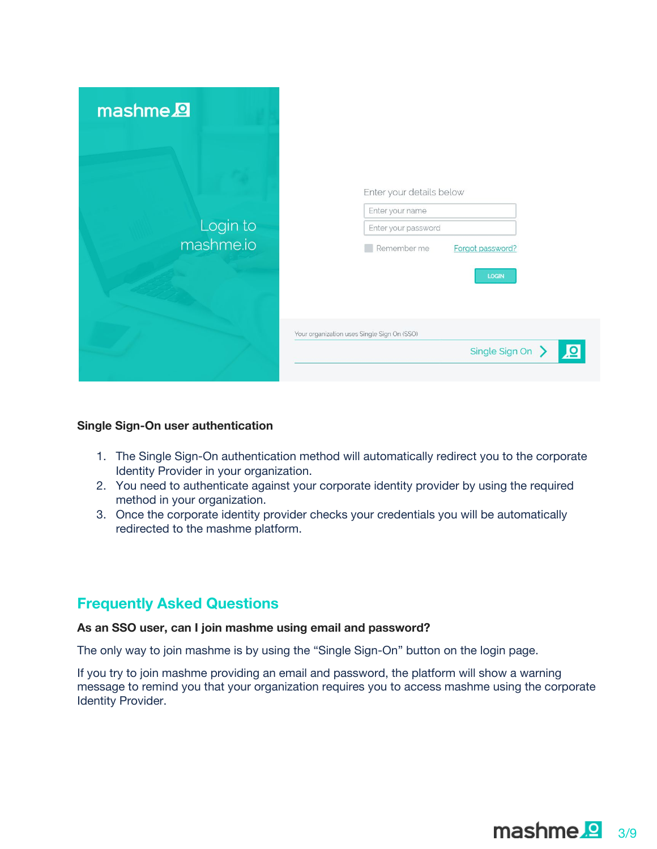| mashme <sup>2</sup>   |                                                                                                                       |
|-----------------------|-----------------------------------------------------------------------------------------------------------------------|
| Login to<br>mashme.io | Enter your details below<br>Enter your name<br>Enter your password<br>Remember me<br>Forgot password?<br><b>LOGIN</b> |
|                       | Your organization uses Single Sign On (SSO)<br><u>lo</u><br>Single Sign On >                                          |

#### **Single Sign-On user authentication**

- 1. The Single Sign-On authentication method will automatically redirect you to the corporate Identity Provider in your organization.
- 2. You need to authenticate against your corporate identity provider by using the required method in your organization.
- 3. Once the corporate identity provider checks your credentials you will be automatically redirected to the mashme platform.

## **Frequently Asked Questions**

#### **As an SSO user, can I join mashme using email and password?**

The only way to join mashme is by using the "Single Sign-On" button on the login page.

If you try to join mashme providing an email and password, the platform will show a warning message to remind you that your organization requires you to access mashme using the corporate Identity Provider.

 $$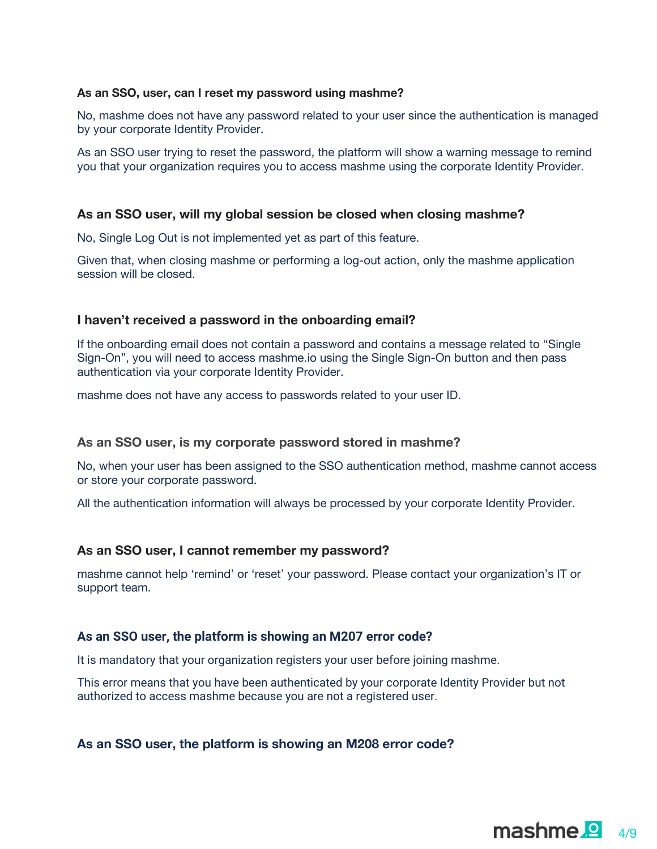#### **As an SSO, user, can I reset my password using mashme?**

No, mashme does not have any password related to your user since the authentication is managed by your corporate Identity Provider.

As an SSO user trying to reset the password, the platform will show a warning message to remind you that your organization requires you to access mashme using the corporate Identity Provider.

#### **As an SSO user, will my global session be closed when closing mashme?**

No, Single Log Out is not implemented yet as part of this feature.

Given that, when closing mashme or performing a log-out action, only the mashme application session will be closed.

#### **I haven't received a password in the onboarding email?**

If the onboarding email does not contain a password and contains a message related to "Single Sign-On", you will need to access mashme.io using the Single Sign-On button and then pass authentication via your corporate Identity Provider.

mashme does not have any access to passwords related to your user ID.

#### **As an SSO user, is my corporate password stored in mashme?**

No, when your user has been assigned to the SSO authentication method, mashme cannot access or store your corporate password.

All the authentication information will always be processed by your corporate Identity Provider.

#### **As an SSO user, I cannot remember my password?**

mashme cannot help 'remind' or 'reset' your password. Please contact your organization's IT or support team.

#### **As an SSO user, the platform is showing an M207 error code?**

It is mandatory that your organization registers your user before joining mashme.

This error means that you have been authenticated by your corporate Identity Provider but not authorized to access mashme because you are not a registered user.

#### **As an SSO user, the platform is showing an M208 error code?**